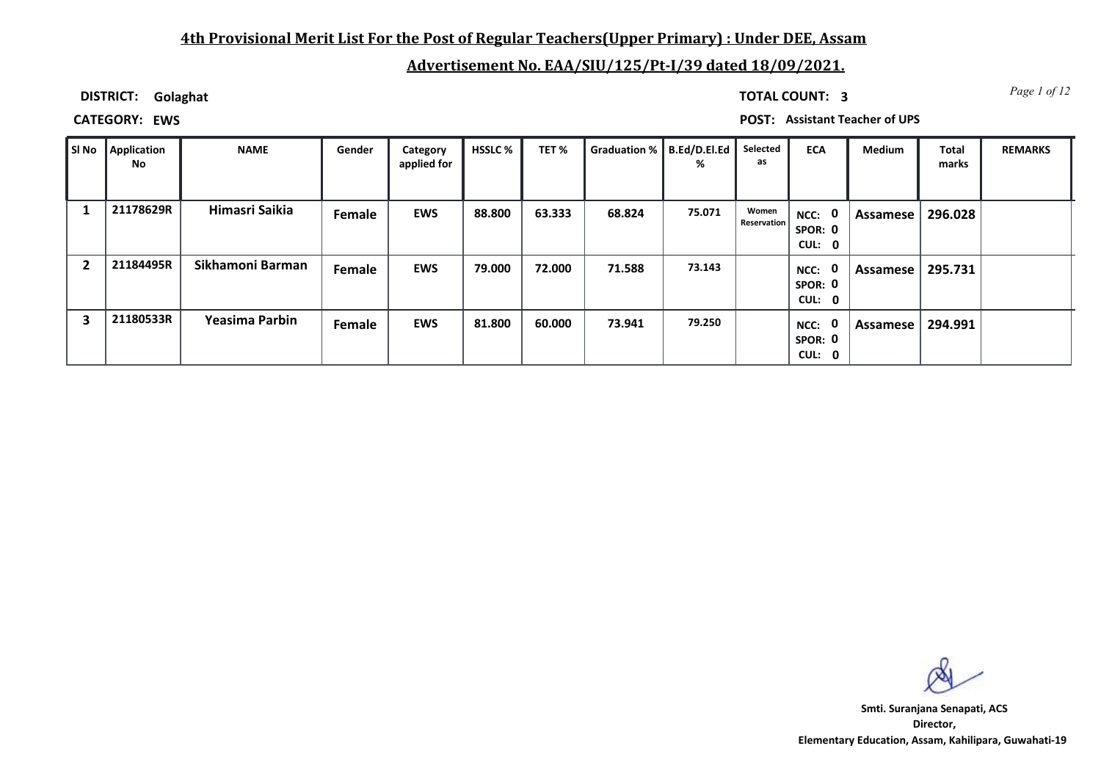### **4th Provisional Merit List For the Post of Regular Teachers(Upper Primary) : Under DEE, Assam**

### **Advertisement No. EAA/SIU/125/Pt-I/39 dated 18/09/2021.**

**DISTRICT: Golaghat**

*Page 1 of 12* **TOTAL COUNT: 3**

**CATEGORY: EWS POST: Assistant Teacher of UPS**

| SI No | Application<br>No | <b>NAME</b>      | Gender | Category<br>applied for | <b>HSSLC %</b> | TET %  | Graduation %   B.Ed/D.El.Ed | %      | Selected<br>as              | <b>ECA</b>                               | Medium   | <b>Total</b><br>marks | <b>REMARKS</b> |
|-------|-------------------|------------------|--------|-------------------------|----------------|--------|-----------------------------|--------|-----------------------------|------------------------------------------|----------|-----------------------|----------------|
|       | 21178629R         | Himasri Saikia   | Female | <b>EWS</b>              | 88.800         | 63.333 | 68.824                      | 75.071 | Women<br><b>Reservation</b> | $\mathbf 0$<br>NCC:<br>SPOR: 0<br>CUL: 0 | Assamese | 296.028               |                |
| 2     | 21184495R         | Sikhamoni Barman | Female | <b>EWS</b>              | 79.000         | 72.000 | 71.588                      | 73.143 |                             | $\mathbf 0$<br>NCC:<br>SPOR: 0<br>CUL: 0 | Assamese | 295.731               |                |
| 3     | 21180533R         | Yeasima Parbin   | Female | <b>EWS</b>              | 81.800         | 60.000 | 73.941                      | 79.250 |                             | $\mathbf 0$<br>NCC:<br>SPOR: 0<br>CUL: 0 | Assamese | 294.991               |                |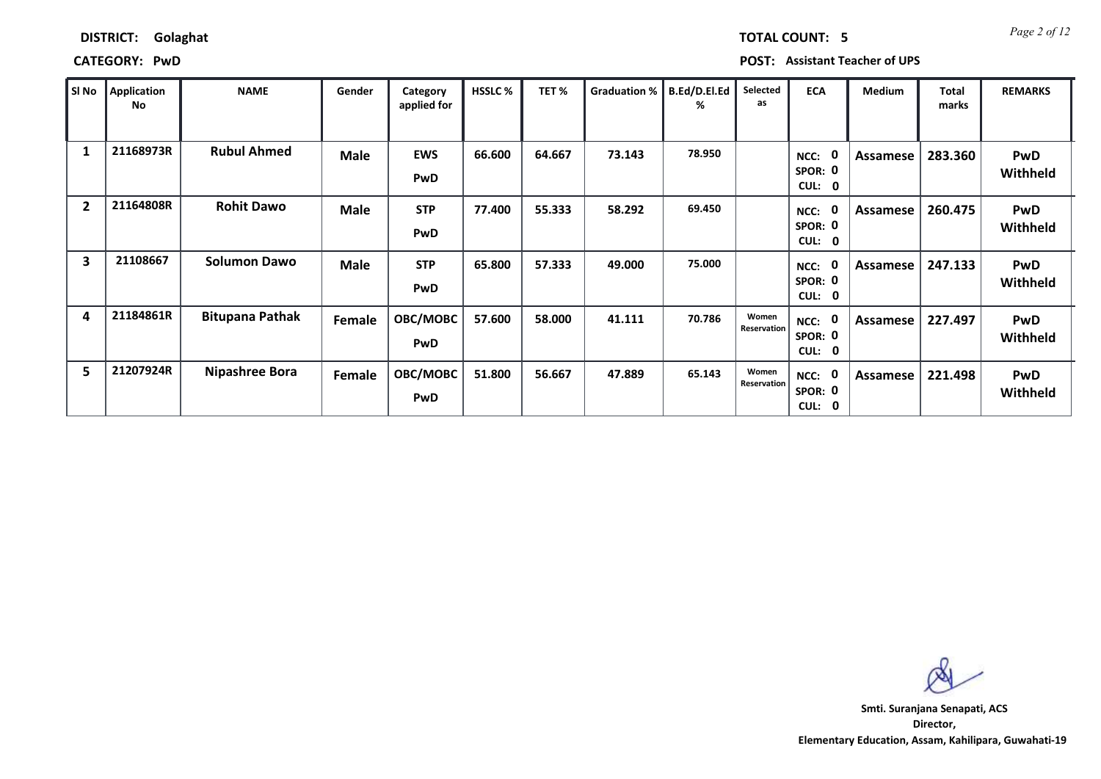| SI No                   | Application<br>No | <b>NAME</b>            | Gender      | Category<br>applied for  | <b>HSSLC%</b> | TET%   | Graduation %   B.Ed/D.El.Ed | %      | Selected<br>as       | <b>ECA</b>                                           | <b>Medium</b> | Total<br>marks | <b>REMARKS</b>         |
|-------------------------|-------------------|------------------------|-------------|--------------------------|---------------|--------|-----------------------------|--------|----------------------|------------------------------------------------------|---------------|----------------|------------------------|
| 1                       | 21168973R         | <b>Rubul Ahmed</b>     | <b>Male</b> | <b>EWS</b><br><b>PwD</b> | 66.600        | 64.667 | 73.143                      | 78.950 |                      | 0<br>NCC:<br>SPOR: 0<br><b>CUL:</b><br>$\mathbf 0$   | Assamese      | 283.360        | <b>PwD</b><br>Withheld |
| $\overline{2}$          | 21164808R         | <b>Rohit Dawo</b>      | <b>Male</b> | <b>STP</b><br><b>PwD</b> | 77.400        | 55.333 | 58.292                      | 69.450 |                      | - 0<br>NCC:<br>SPOR: 0<br>CUL: 0                     | Assamese      | 260.475        | <b>PwD</b><br>Withheld |
| $\overline{\mathbf{3}}$ | 21108667          | <b>Solumon Dawo</b>    | Male        | <b>STP</b><br><b>PwD</b> | 65.800        | 57.333 | 49.000                      | 75.000 |                      | - 0<br>NCC:<br>SPOR: 0<br><b>CUL:</b><br>$\mathbf 0$ | Assamese      | 247.133        | <b>PwD</b><br>Withheld |
| 4                       | 21184861R         | <b>Bitupana Pathak</b> | Female      | OBC/MOBC<br><b>PwD</b>   | 57.600        | 58.000 | 41.111                      | 70.786 | Women<br>Reservation | - 0<br>NCC:<br>SPOR: 0<br><b>CUL:</b><br>$\mathbf 0$ | Assamese      | 227.497        | <b>PwD</b><br>Withheld |
| 5                       | 21207924R         | <b>Nipashree Bora</b>  | Female      | OBC/MOBC<br>PwD          | 51.800        | 56.667 | 47.889                      | 65.143 | Women<br>Reservation | - 0<br>NCC:<br>SPOR: 0<br>CUL: 0                     | Assamese      | 221.498        | <b>PwD</b><br>Withheld |

**CATEGORY: PwD POST: Assistant Teacher of UPS**

**Director, Elementary Education, Assam, Kahilipara, Guwahati-19 Smti. Suranjana Senapati, ACS**

*Page 2 of 12* **TOTAL COUNT: 5**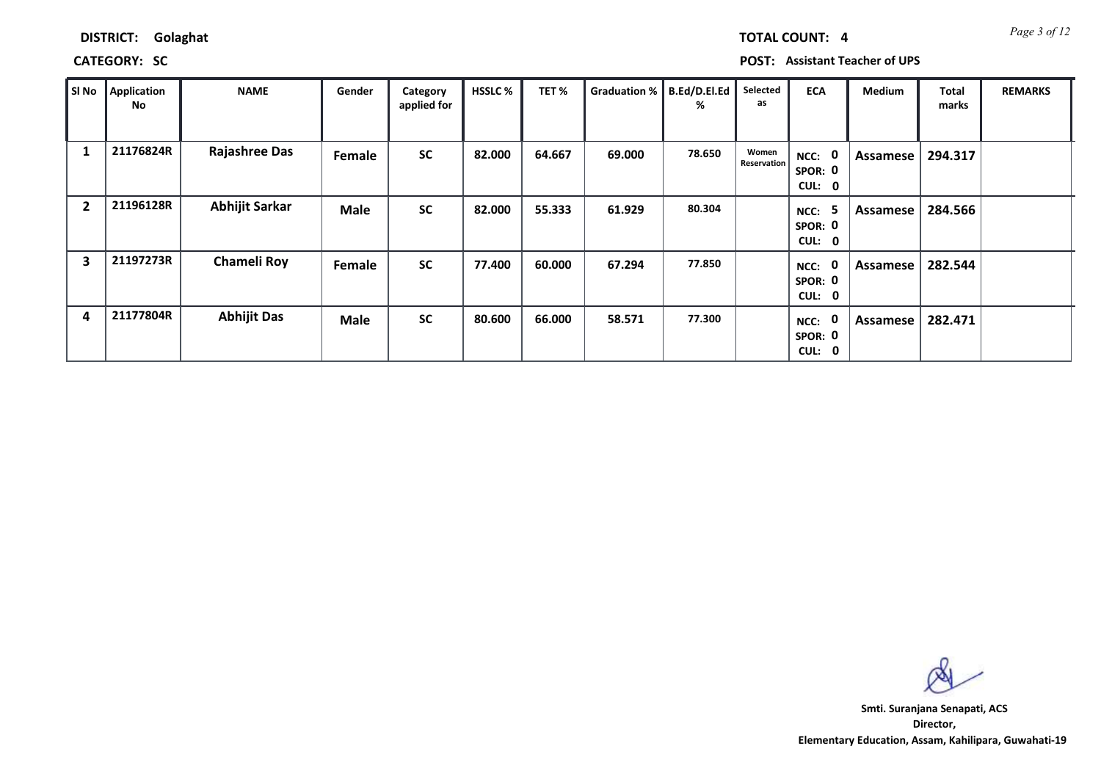| DISTRICT: | Golaghat |
|-----------|----------|
|           |          |

### **CATEGORY: SC POST: Assistant Teacher of UPS**

| SI No          | Application<br>No | <b>NAME</b>           | Gender      | Category<br>applied for | <b>HSSLC %</b> | TET%   | Graduation %   B.Ed/D.El.Ed | %      | Selected<br>as       | <b>ECA</b>                                             | Medium   | Total<br>marks | <b>REMARKS</b> |
|----------------|-------------------|-----------------------|-------------|-------------------------|----------------|--------|-----------------------------|--------|----------------------|--------------------------------------------------------|----------|----------------|----------------|
| 1              | 21176824R         | <b>Rajashree Das</b>  | Female      | <b>SC</b>               | 82.000         | 64.667 | 69.000                      | 78.650 | Women<br>Reservation | NCC:<br>$\mathbf{0}$<br>SPOR: 0<br>CUL:<br>$\mathbf 0$ | Assamese | 294.317        |                |
| $\overline{2}$ | 21196128R         | <b>Abhijit Sarkar</b> | <b>Male</b> | <b>SC</b>               | 82.000         | 55.333 | 61.929                      | 80.304 |                      | 5<br>NCC:<br>SPOR: 0<br>CUL: 0                         | Assamese | 284.566        |                |
| 3              | 21197273R         | <b>Chameli Roy</b>    | Female      | <b>SC</b>               | 77.400         | 60.000 | 67.294                      | 77.850 |                      | 0<br>NCC:<br>SPOR: 0<br>CUL:<br>0                      | Assamese | 282.544        |                |
| 4              | 21177804R         | <b>Abhijit Das</b>    | <b>Male</b> | <b>SC</b>               | 80.600         | 66.000 | 58.571                      | 77.300 |                      | $\mathbf{0}$<br>NCC:<br>SPOR: 0<br>CUL:<br>$\mathbf 0$ | Assamese | 282.471        |                |

**Director, Elementary Education, Assam, Kahilipara, Guwahati-19 Smti. Suranjana Senapati, ACS**

*Page 3 of 12* **TOTAL COUNT: 4**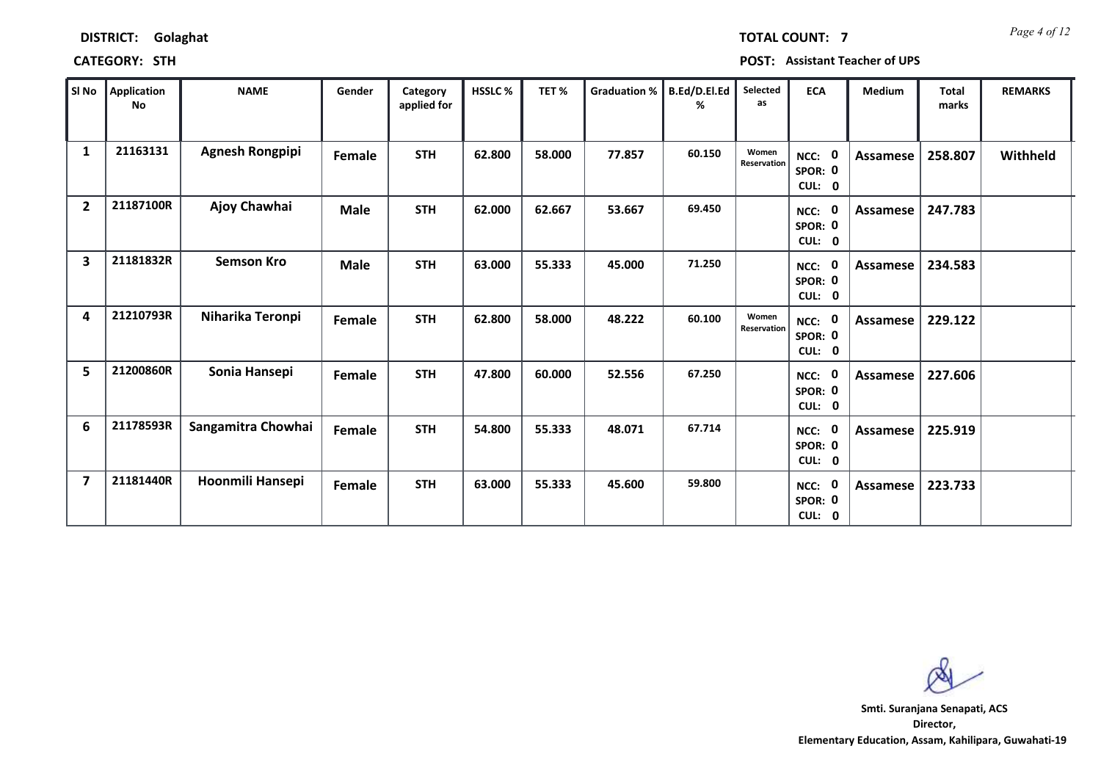|                         | SI No    Application<br>No | <b>NAME</b>            | Gender      | Category<br>applied for | HSSLC% | TET%   | <b>Graduation %</b> | B.Ed/D.EI.Ed<br>℅ | Selected<br>as       | <b>ECA</b>                  | Medium   | <b>Total</b><br>marks | <b>REMARKS</b> |
|-------------------------|----------------------------|------------------------|-------------|-------------------------|--------|--------|---------------------|-------------------|----------------------|-----------------------------|----------|-----------------------|----------------|
| 1                       | 21163131                   | <b>Agnesh Rongpipi</b> | Female      | <b>STH</b>              | 62.800 | 58.000 | 77.857              | 60.150            | Women<br>Reservation | NCC: 0<br>SPOR: 0<br>CUL: 0 | Assamese | 258.807               | Withheld       |
| $\overline{2}$          | 21187100R                  | Ajoy Chawhai           | <b>Male</b> | <b>STH</b>              | 62.000 | 62.667 | 53.667              | 69.450            |                      | NCC: 0<br>SPOR: 0<br>CUL: 0 | Assamese | 247.783               |                |
| $\overline{\mathbf{3}}$ | 21181832R                  | <b>Semson Kro</b>      | <b>Male</b> | <b>STH</b>              | 63.000 | 55.333 | 45.000              | 71.250            |                      | NCC: 0<br>SPOR: 0<br>CUL: 0 | Assamese | 234.583               |                |
| 4                       | 21210793R                  | Niharika Teronpi       | Female      | <b>STH</b>              | 62.800 | 58.000 | 48.222              | 60.100            | Women<br>Reservation | NCC: 0<br>SPOR: 0<br>CUL: 0 | Assamese | 229.122               |                |
| 5                       | 21200860R                  | Sonia Hansepi          | Female      | <b>STH</b>              | 47.800 | 60.000 | 52.556              | 67.250            |                      | NCC: 0<br>SPOR: 0<br>CUL: 0 | Assamese | 227.606               |                |
| 6                       | 21178593R                  | Sangamitra Chowhai     | Female      | <b>STH</b>              | 54.800 | 55.333 | 48.071              | 67.714            |                      | NCC: 0<br>SPOR: 0<br>CUL: 0 | Assamese | 225.919               |                |
| $\overline{\mathbf{z}}$ | 21181440R                  | Hoonmili Hansepi       | Female      | <b>STH</b>              | 63.000 | 55.333 | 45.600              | 59.800            |                      | NCC: 0<br>SPOR: 0<br>CUL: 0 | Assamese | 223.733               |                |

**CATEGORY: STH POST: Assistant Teacher of UPS**

**Director, Elementary Education, Assam, Kahilipara, Guwahati-19 Smti. Suranjana Senapati, ACS**

*Page 4 of 12* **TOTAL COUNT: 7**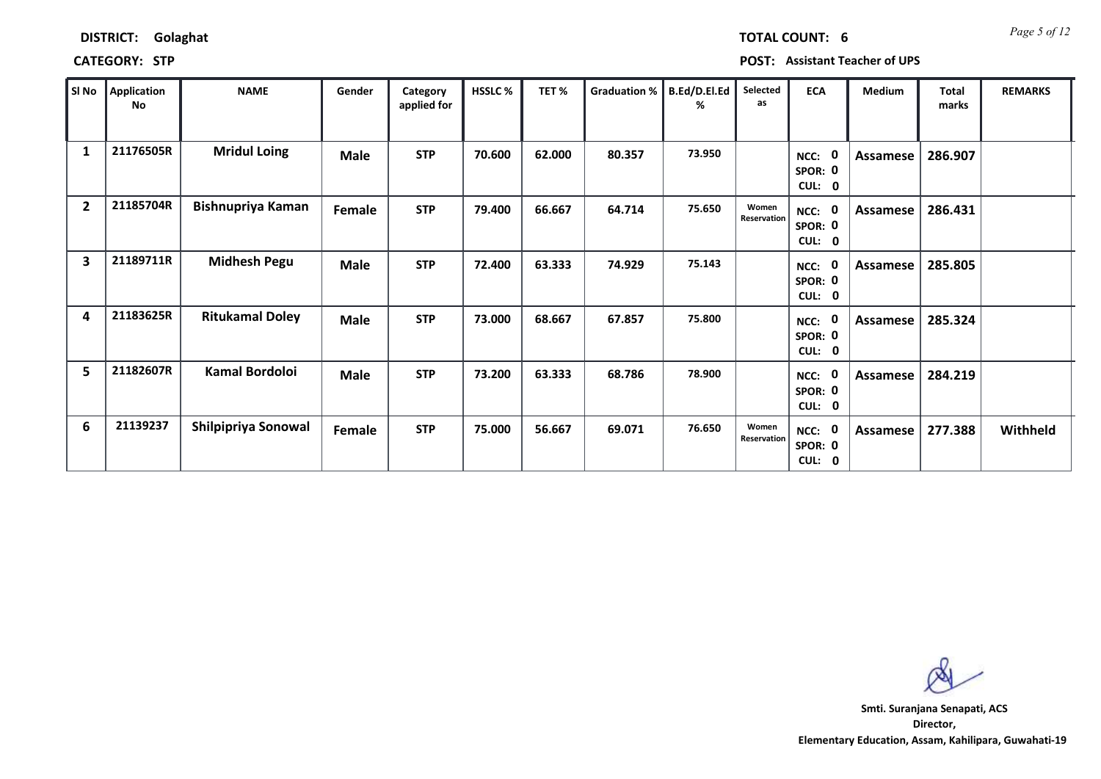| SI No                   | Application<br>No | <b>NAME</b>              | Gender      | Category<br>applied for | HSSLC % | TET%   | Graduation % | B.Ed/D.El.Ed<br>% | Selected<br>as       | <b>ECA</b>                                    | Medium   | <b>Total</b><br>marks | <b>REMARKS</b> |
|-------------------------|-------------------|--------------------------|-------------|-------------------------|---------|--------|--------------|-------------------|----------------------|-----------------------------------------------|----------|-----------------------|----------------|
| 1                       | 21176505R         | <b>Mridul Loing</b>      | Male        | <b>STP</b>              | 70.600  | 62.000 | 80.357       | 73.950            |                      | - 0<br>NCC:<br>SPOR: 0<br>CUL: 0              | Assamese | 286.907               |                |
| $\overline{2}$          | 21185704R         | <b>Bishnupriya Kaman</b> | Female      | <b>STP</b>              | 79.400  | 66.667 | 64.714       | 75.650            | Women<br>Reservation | - 0<br>NCC:<br>SPOR: 0<br>CUL:<br>$\mathbf 0$ | Assamese | 286.431               |                |
| $\overline{\mathbf{3}}$ | 21189711R         | <b>Midhesh Pegu</b>      | Male        | <b>STP</b>              | 72.400  | 63.333 | 74.929       | 75.143            |                      | - 0<br>NCC:<br>SPOR: 0<br>CUL: 0              | Assamese | 285.805               |                |
| 4                       | 21183625R         | <b>Ritukamal Doley</b>   | <b>Male</b> | <b>STP</b>              | 73.000  | 68.667 | 67.857       | 75.800            |                      | 0<br>NCC:<br>SPOR: 0<br>CUL:<br>$\mathbf{0}$  | Assamese | 285.324               |                |
| 5                       | 21182607R         | Kamal Bordoloi           | <b>Male</b> | <b>STP</b>              | 73.200  | 63.333 | 68.786       | 78.900            |                      | 0<br>NCC:<br>SPOR: 0<br>CUL:<br>$\mathbf 0$   | Assamese | 284.219               |                |
| 6                       | 21139237          | Shilpipriya Sonowal      | Female      | <b>STP</b>              | 75.000  | 56.667 | 69.071       | 76.650            | Women<br>Reservation | - 0<br>NCC:<br>SPOR: 0<br>CUL: 0              | Assamese | 277.388               | Withheld       |

**CATEGORY: STP POST: Assistant Teacher of UPS**

**Director, Elementary Education, Assam, Kahilipara, Guwahati-19 Smti. Suranjana Senapati, ACS**

*Page 5 of 12* **TOTAL COUNT: 6**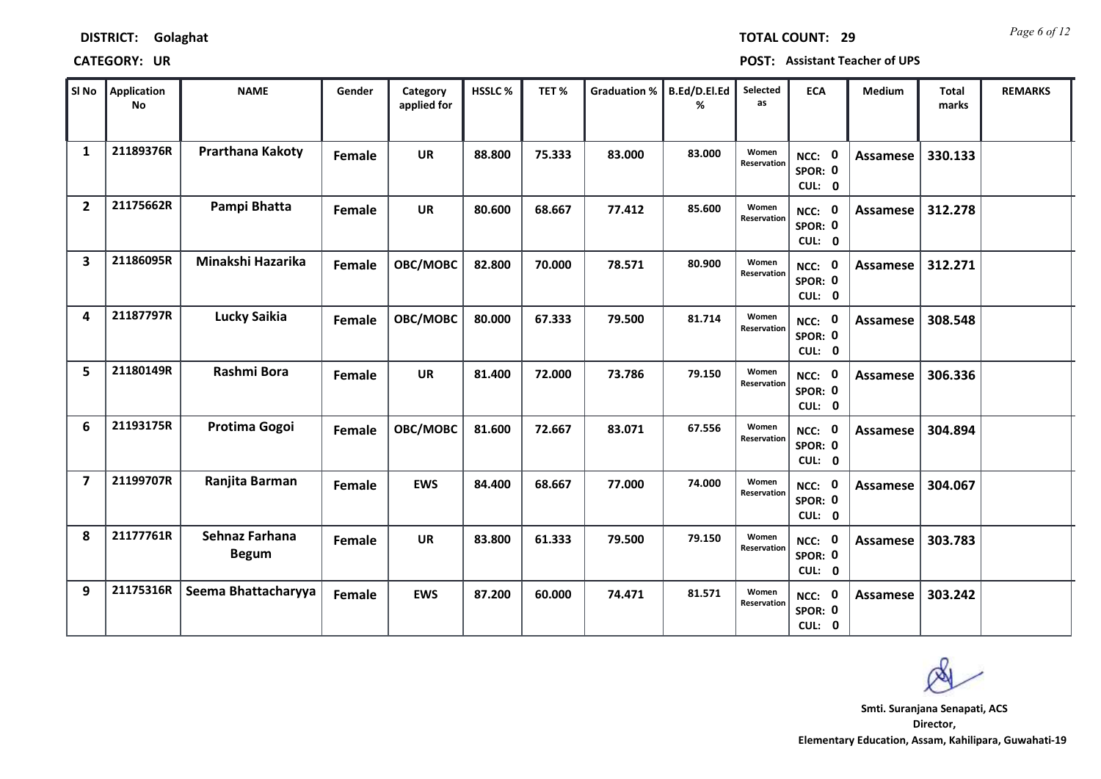### **CATEGORY: UR POST: Assistant Teacher of UPS**

| <b>TOTAL COUNT: 29</b> | Page 6 of 12 |
|------------------------|--------------|
|                        |              |

| SI No                   | <b>Application</b><br><b>No</b> | <b>NAME</b>                    | Gender | Category<br>applied for | HSSLC% | TET%   | <b>Graduation %</b> | B.Ed/D.El.Ed<br>% | Selected<br>as       | <b>ECA</b>                         | Medium          | Total<br>marks | <b>REMARKS</b> |
|-------------------------|---------------------------------|--------------------------------|--------|-------------------------|--------|--------|---------------------|-------------------|----------------------|------------------------------------|-----------------|----------------|----------------|
| 1                       | 21189376R                       | Prarthana Kakoty               | Female | <b>UR</b>               | 88.800 | 75.333 | 83.000              | 83.000            | Women<br>Reservation | 0<br>NCC:<br>SPOR: 0<br>CUL: 0     | Assamese        | 330.133        |                |
| $\overline{2}$          | 21175662R                       | Pampi Bhatta                   | Female | <b>UR</b>               | 80.600 | 68.667 | 77.412              | 85.600            | Women<br>Reservation | NCC: 0<br>SPOR: 0<br>CUL: 0        | Assamese        | 312.278        |                |
| $\overline{\mathbf{3}}$ | 21186095R                       | Minakshi Hazarika              | Female | OBC/MOBC                | 82.800 | 70.000 | 78.571              | 80.900            | Women<br>Reservation | NCC: 0<br>SPOR: 0<br>CUL: 0        | Assamese        | 312.271        |                |
| 4                       | 21187797R                       | <b>Lucky Saikia</b>            | Female | OBC/MOBC                | 80.000 | 67.333 | 79.500              | 81.714            | Women<br>Reservation | 0<br>NCC:<br>SPOR: 0<br>CUL: 0     | Assamese        | 308.548        |                |
| 5                       | 21180149R                       | Rashmi Bora                    | Female | <b>UR</b>               | 81.400 | 72.000 | 73.786              | 79.150            | Women<br>Reservation | NCC: 0<br>SPOR: 0<br>CUL: 0        | Assamese        | 306.336        |                |
| 6                       | 21193175R                       | Protima Gogoi                  | Female | OBC/MOBC                | 81.600 | 72.667 | 83.071              | 67.556            | Women<br>Reservation | NCC: 0<br>SPOR: 0<br>CUL: 0        | <b>Assamese</b> | 304.894        |                |
| $\overline{7}$          | 21199707R                       | Ranjita Barman                 | Female | <b>EWS</b>              | 84.400 | 68.667 | 77.000              | 74.000            | Women<br>Reservation | 0<br>NCC:<br>SPOR: 0<br>CUL: 0     | Assamese        | 304.067        |                |
| 8                       | 21177761R                       | Sehnaz Farhana<br><b>Begum</b> | Female | <b>UR</b>               | 83.800 | 61.333 | 79.500              | 79.150            | Women<br>Reservation | NCC: 0<br>SPOR: 0<br>CUL: 0        | Assamese        | 303.783        |                |
| 9                       | 21175316R                       | Seema Bhattacharyya            | Female | <b>EWS</b>              | 87.200 | 60.000 | 74.471              | 81.571            | Women<br>Reservation | <b>NCC: 0</b><br>SPOR: 0<br>CUL: 0 | Assamese        | 303.242        |                |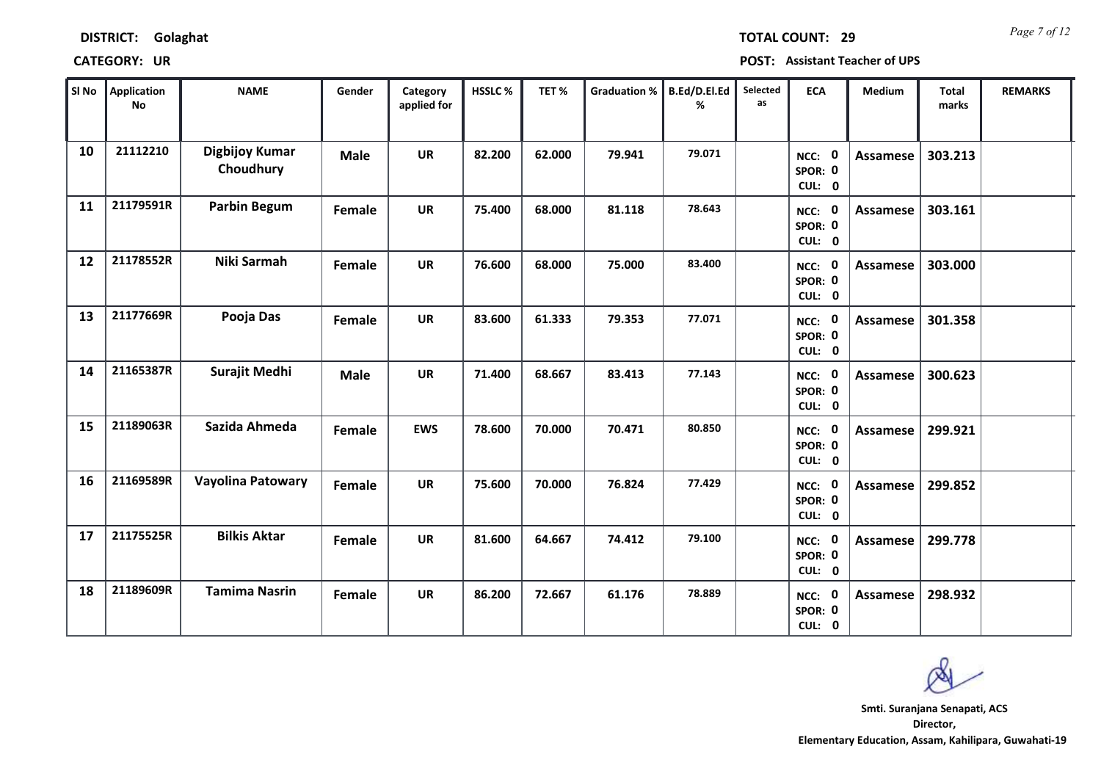*Page 7 of 12* **TOTAL COUNT: 29**

**CATEGORY: UR POST: Assistant Teacher of UPS**

| SI No | Application<br><b>No</b> | <b>NAME</b>                 | Gender        | Category<br>applied for | HSSLC% | TET%   | <b>Graduation %</b> | B.Ed/D.El.Ed<br>% | Selected<br>as | <b>ECA</b>                         | <b>Medium</b>   | <b>Total</b><br>marks | <b>REMARKS</b> |  |
|-------|--------------------------|-----------------------------|---------------|-------------------------|--------|--------|---------------------|-------------------|----------------|------------------------------------|-----------------|-----------------------|----------------|--|
| 10    | 21112210                 | Digbijoy Kumar<br>Choudhury | <b>Male</b>   | <b>UR</b>               | 82.200 | 62.000 | 79.941              | 79.071            |                | NCC: 0<br>SPOR: 0<br>CUL: 0        | <b>Assamese</b> | 303.213               |                |  |
| 11    | 21179591R                | <b>Parbin Begum</b>         | Female        | <b>UR</b>               | 75.400 | 68.000 | 81.118              | 78.643            |                | NCC: 0<br>SPOR: 0<br>CUL: 0        | Assamese        | 303.161               |                |  |
| 12    | 21178552R                | Niki Sarmah                 | <b>Female</b> | <b>UR</b>               | 76.600 | 68.000 | 75.000              | 83.400            |                | NCC: 0<br>SPOR: 0<br>CUL: 0        | <b>Assamese</b> | 303.000               |                |  |
| 13    | 21177669R                | Pooja Das                   | <b>Female</b> | <b>UR</b>               | 83.600 | 61.333 | 79.353              | 77.071            |                | - 0<br>NCC:<br>SPOR: 0<br>CUL: 0   | Assamese        | 301.358               |                |  |
| 14    | 21165387R                | Surajit Medhi               | <b>Male</b>   | <b>UR</b>               | 71.400 | 68.667 | 83.413              | 77.143            |                | NCC: 0<br>SPOR: 0<br>CUL: 0        | Assamese        | 300.623               |                |  |
| 15    | 21189063R                | Sazida Ahmeda               | Female        | <b>EWS</b>              | 78.600 | 70.000 | 70.471              | 80.850            |                | NCC: 0<br>SPOR: 0<br>CUL: 0        | Assamese        | 299.921               |                |  |
| 16    | 21169589R                | Vayolina Patowary           | <b>Female</b> | <b>UR</b>               | 75.600 | 70.000 | 76.824              | 77.429            |                | NCC: 0<br>SPOR: 0<br>CUL: 0        | Assamese        | 299.852               |                |  |
| 17    | 21175525R                | <b>Bilkis Aktar</b>         | Female        | <b>UR</b>               | 81.600 | 64.667 | 74.412              | 79.100            |                | <b>NCC: 0</b><br>SPOR: 0<br>CUL: 0 | <b>Assamese</b> | 299.778               |                |  |
| 18    | 21189609R                | <b>Tamima Nasrin</b>        | Female        | <b>UR</b>               | 86.200 | 72.667 | 61.176              | 78.889            |                | 0<br>NCC:<br>SPOR: 0<br>CUL: 0     | Assamese        | 298.932               |                |  |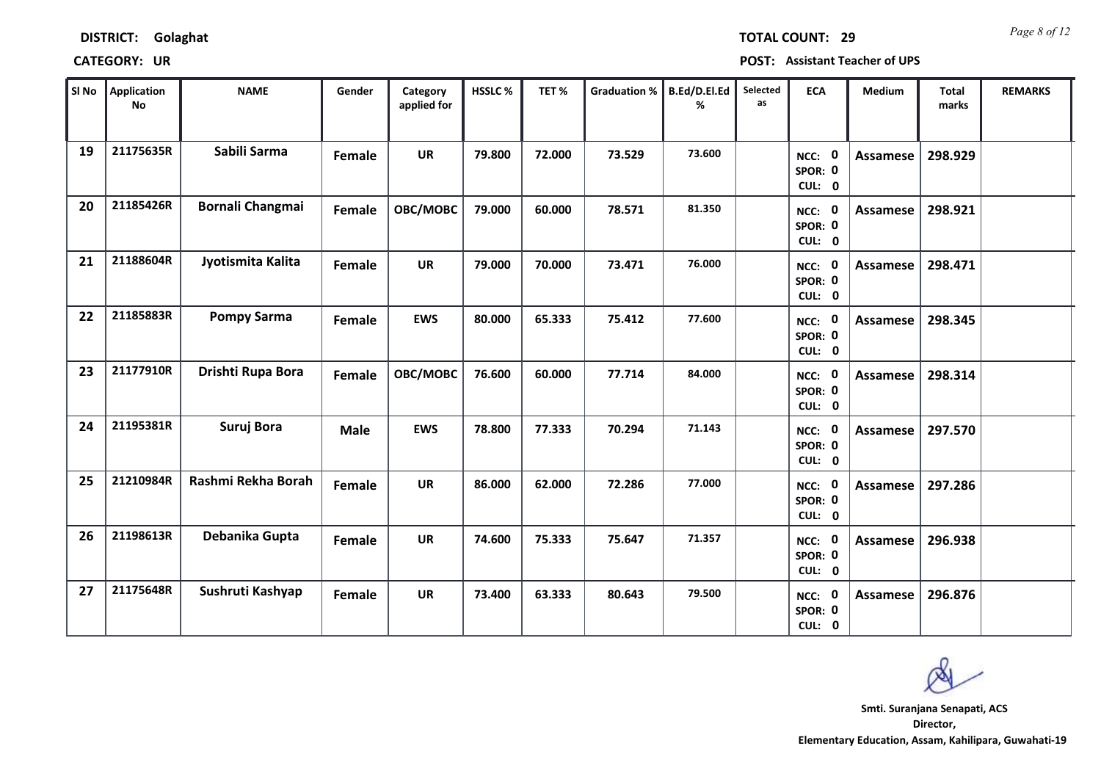| SI No | Application<br><b>No</b> | <b>NAME</b>             | Gender      | Category<br>applied for | <b>HSSLC%</b> | TET%   | <b>Graduation %</b> | B.Ed/D.El.Ed<br>% | Selected<br>as | <b>ECA</b>                         | Medium          | <b>Total</b><br>marks | <b>REMARKS</b> |
|-------|--------------------------|-------------------------|-------------|-------------------------|---------------|--------|---------------------|-------------------|----------------|------------------------------------|-----------------|-----------------------|----------------|
| 19    | 21175635R                | Sabili Sarma            | Female      | <b>UR</b>               | 79.800        | 72.000 | 73.529              | 73.600            |                | NCC: 0<br>SPOR: 0<br>CUL: 0        | Assamese        | 298.929               |                |
| 20    | 21185426R                | <b>Bornali Changmai</b> | Female      | OBC/MOBC                | 79.000        | 60.000 | 78.571              | 81.350            |                | NCC: 0<br>SPOR: 0<br>CUL: 0        | <b>Assamese</b> | 298.921               |                |
| 21    | 21188604R                | Jyotismita Kalita       | Female      | <b>UR</b>               | 79.000        | 70.000 | 73.471              | 76.000            |                | NCC: 0<br>SPOR: 0<br>CUL: 0        | Assamese        | 298.471               |                |
| 22    | 21185883R                | <b>Pompy Sarma</b>      | Female      | <b>EWS</b>              | 80.000        | 65.333 | 75.412              | 77.600            |                | NCC: 0<br>SPOR: 0<br>CUL: 0        | <b>Assamese</b> | 298.345               |                |
| 23    | 21177910R                | Drishti Rupa Bora       | Female      | OBC/MOBC                | 76.600        | 60.000 | 77.714              | 84.000            |                | NCC: 0<br>SPOR: 0<br>CUL: 0        | Assamese        | 298.314               |                |
| 24    | 21195381R                | Suruj Bora              | <b>Male</b> | <b>EWS</b>              | 78.800        | 77.333 | 70.294              | 71.143            |                | NCC: 0<br>SPOR: 0<br>CUL: 0        | Assamese        | 297.570               |                |
| 25    | 21210984R                | Rashmi Rekha Borah      | Female      | <b>UR</b>               | 86.000        | 62.000 | 72.286              | 77.000            |                | NCC: 0<br>SPOR: 0<br>CUL: 0        | Assamese        | 297.286               |                |
| 26    | 21198613R                | Debanika Gupta          | Female      | <b>UR</b>               | 74.600        | 75.333 | 75.647              | 71.357            |                | NCC: 0<br>SPOR: 0<br>CUL: 0        | Assamese        | 296.938               |                |
| 27    | 21175648R                | Sushruti Kashyap        | Female      | <b>UR</b>               | 73.400        | 63.333 | 80.643              | 79.500            |                | <b>NCC: 0</b><br>SPOR: 0<br>CUL: 0 | Assamese        | 296.876               |                |

## **CATEGORY: UR POST: Assistant Teacher of UPS**

**DISTRICT: Golaghat**

*Page 8 of 12* **TOTAL COUNT: 29**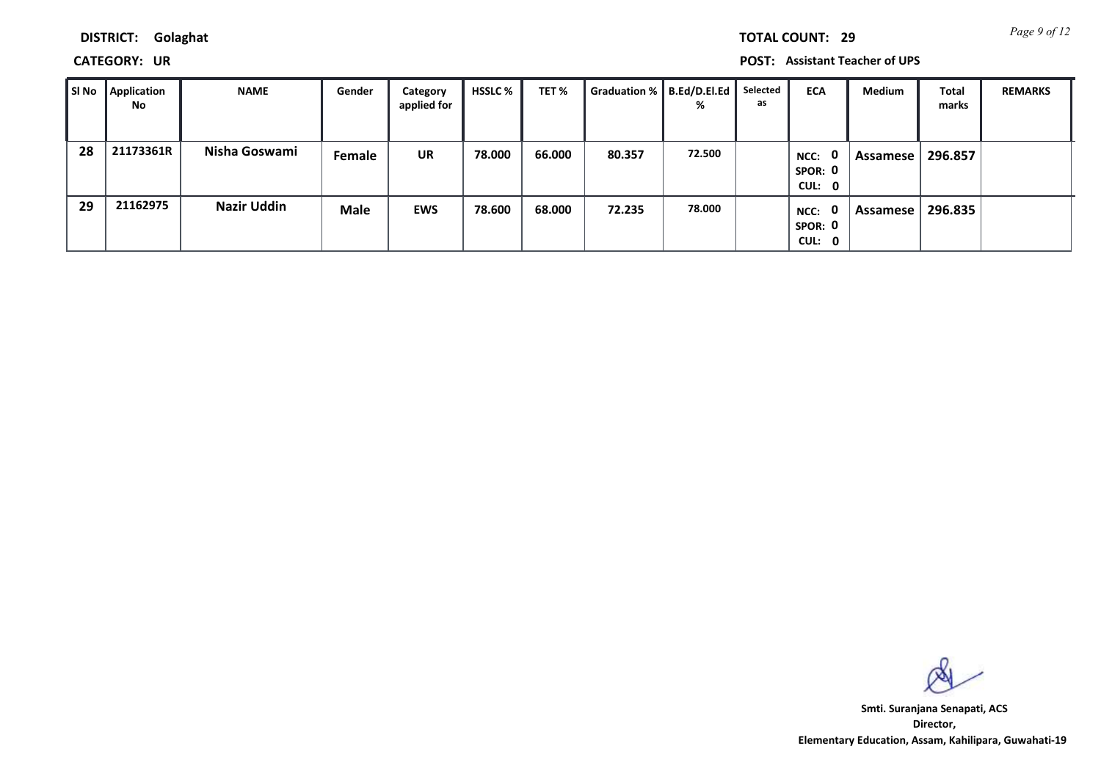*Page 9 of 12* **TOTAL COUNT: 29**

**DISTRICT: Golaghat**

**CATEGORY: UR POST: Assistant Teacher of UPS**

| ∥ SI No | Application<br><b>No</b> | <b>NAME</b>        | Gender | Category<br>applied for | HSSLC % | TET %  | Graduation %   B.Ed/D.El.Ed | %      | Selected<br>as | <b>ECA</b>                                | Medium   | <b>Total</b><br>marks | <b>REMARKS</b> |
|---------|--------------------------|--------------------|--------|-------------------------|---------|--------|-----------------------------|--------|----------------|-------------------------------------------|----------|-----------------------|----------------|
| 28      | 21173361R                | Nisha Goswami      | Female | <b>UR</b>               | 78.000  | 66.000 | 80.357                      | 72.500 |                | $\mathbf{0}$<br>NCC:<br>SPOR: 0<br>CUL: 0 | Assamese | 296.857               |                |
| 29      | 21162975                 | <b>Nazir Uddin</b> | Male   | <b>EWS</b>              | 78.600  | 68.000 | 72.235                      | 78.000 |                | $\mathbf{0}$<br>NCC:<br>SPOR: 0<br>CUL: 0 | Assamese | 296.835               |                |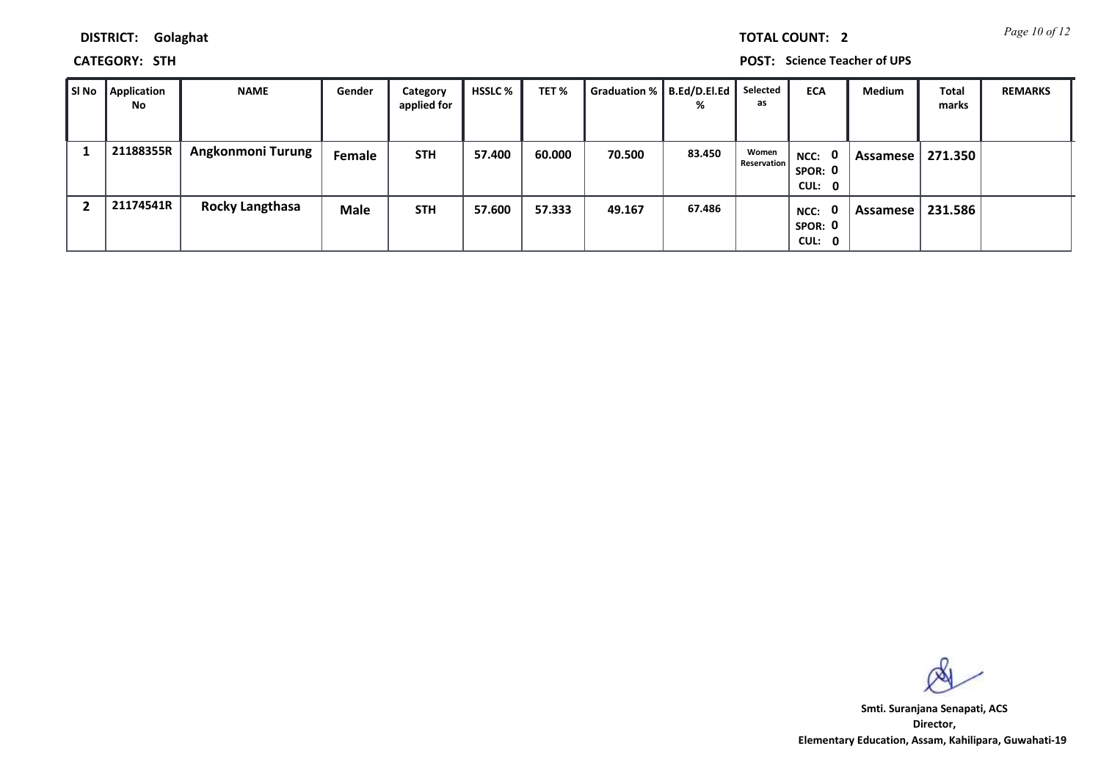*Page 10 of 12* **TOTAL COUNT: 2**

**DISTRICT: Golaghat**

**CATEGORY: STH POST: Science Teacher of UPS**

| Sl No | Application<br>No. | <b>NAME</b>            | Gender      | Category<br>applied for | <b>HSSLC</b> % | TET %  | Graduation %   B.Ed/D.El.Ed | %      | Selected<br>as              | <b>ECA</b>                                | <b>Medium</b> | Total<br>marks | <b>REMARKS</b> |
|-------|--------------------|------------------------|-------------|-------------------------|----------------|--------|-----------------------------|--------|-----------------------------|-------------------------------------------|---------------|----------------|----------------|
|       | 21188355R          | Angkonmoni Turung      | Female      | <b>STH</b>              | 57.400         | 60.000 | 70.500                      | 83.450 | Women<br><b>Reservation</b> | NCC: 0<br>SPOR: 0<br>CUL: 0               | Assamese      | 271.350        |                |
|       | 21174541R          | <b>Rocky Langthasa</b> | <b>Male</b> | <b>STH</b>              | 57.600         | 57.333 | 49.167                      | 67.486 |                             | $\mathbf{0}$<br>NCC:<br>SPOR: 0<br>CUL: 0 | Assamese      | 231.586        |                |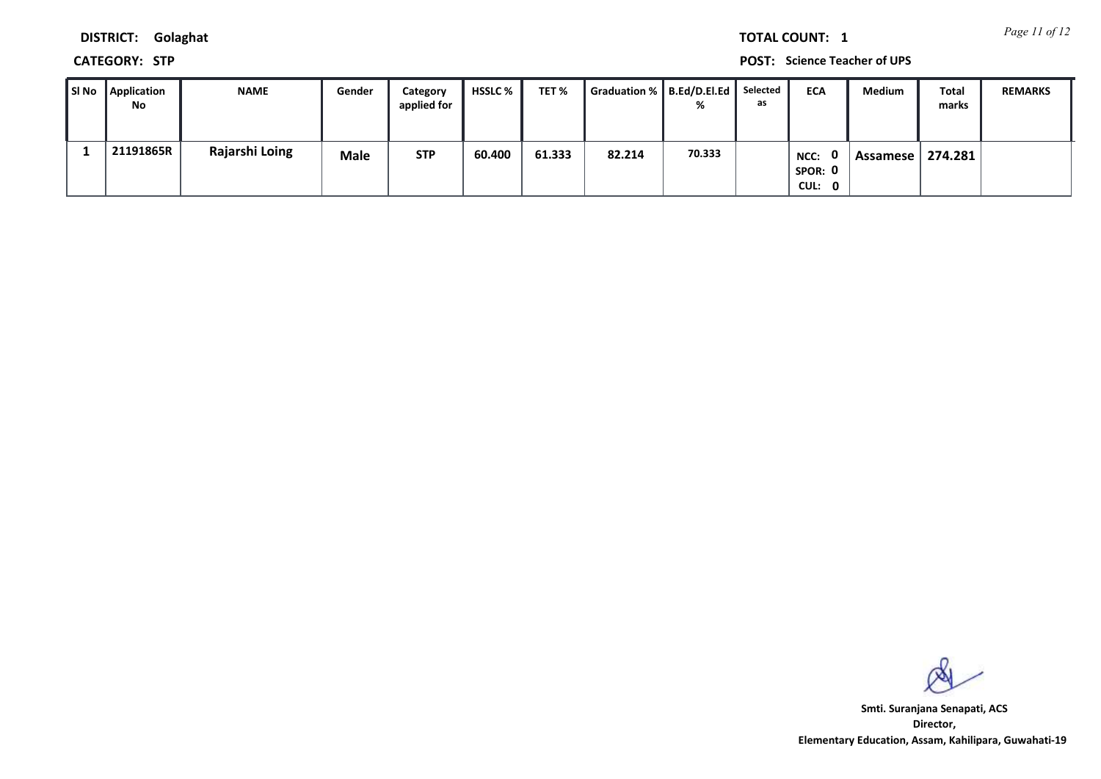*Page 11 of 12* **TOTAL COUNT: 1**

**DISTRICT: Golaghat**

**CATEGORY: STP POST: Science Teacher of UPS**

| ∥SI No∣ | Application<br>No | <b>NAME</b>    | Gender      | Category<br>applied for | HSSLC % | TET %  | Graduation %   B.Ed/D.El.Ed |        | Selected<br>as | <b>ECA</b>                | Medium   | Total<br>marks | <b>REMARKS</b> |
|---------|-------------------|----------------|-------------|-------------------------|---------|--------|-----------------------------|--------|----------------|---------------------------|----------|----------------|----------------|
|         | 21191865R         | Rajarshi Loing | <b>Male</b> | <b>STP</b>              | 60.400  | 61.333 | 82.214                      | 70.333 |                | NCC:<br>SPOR: 0<br>CUL: 0 | Assamese | 274.281        |                |